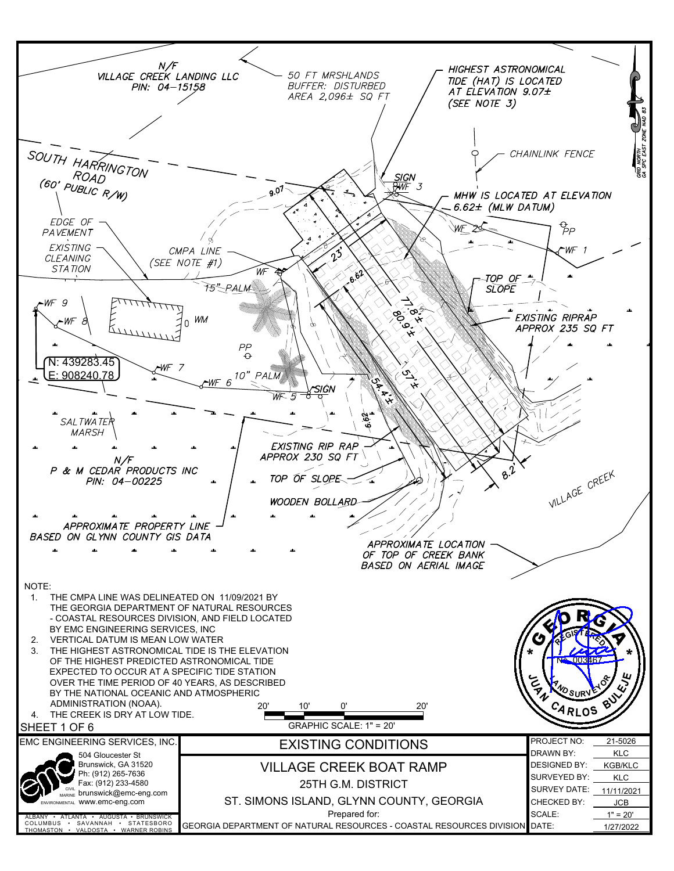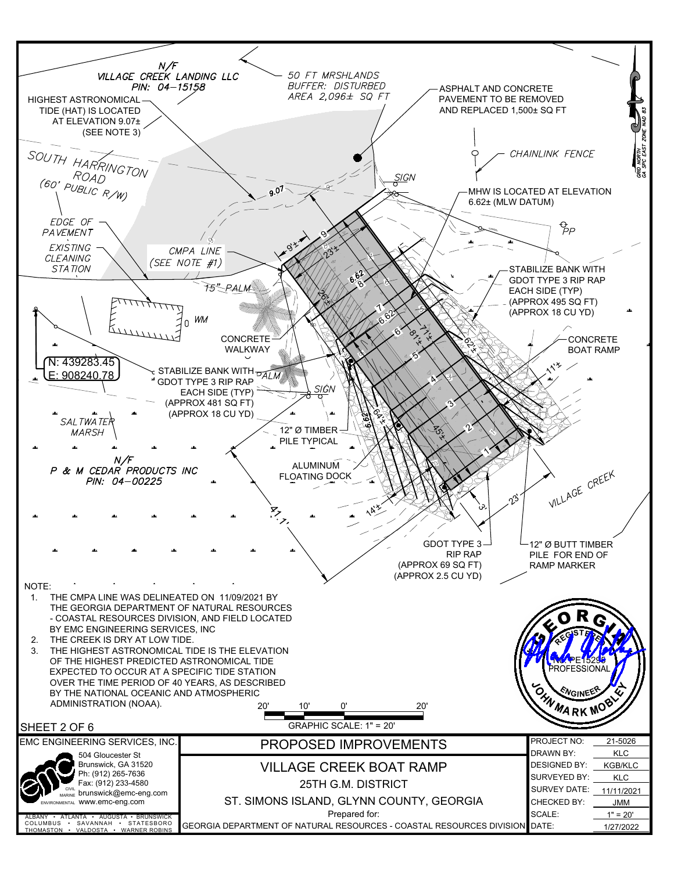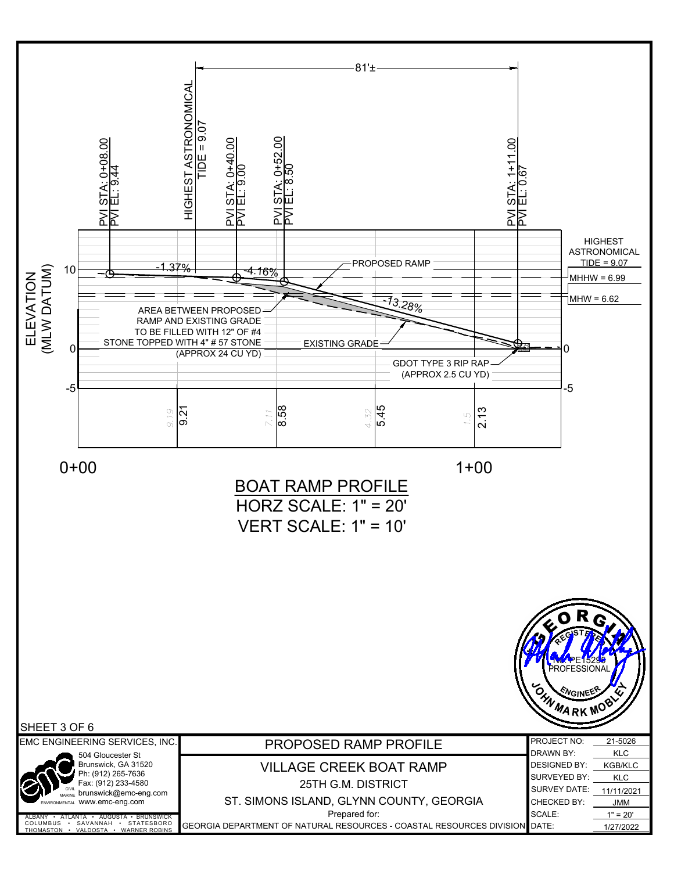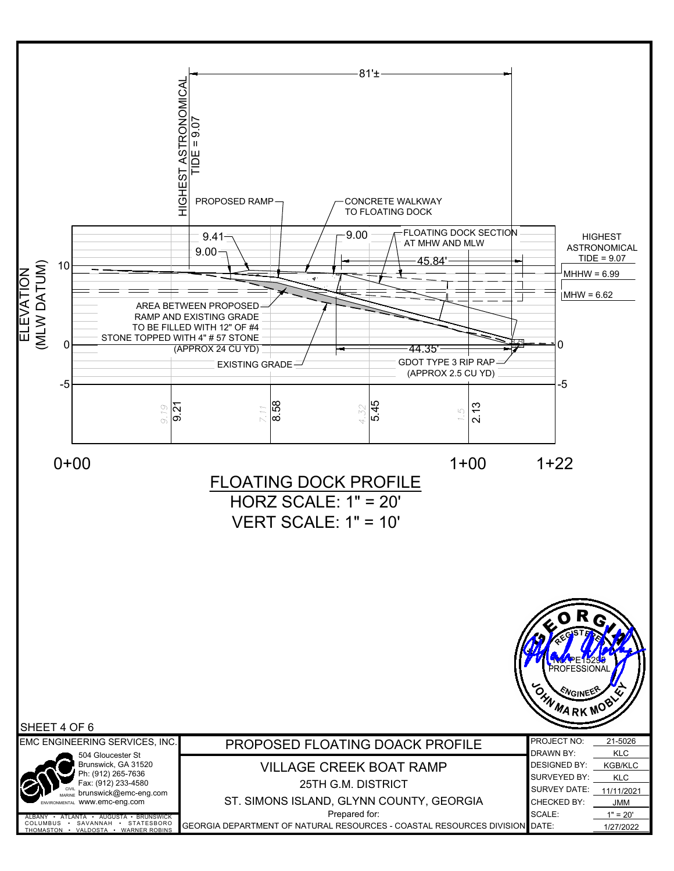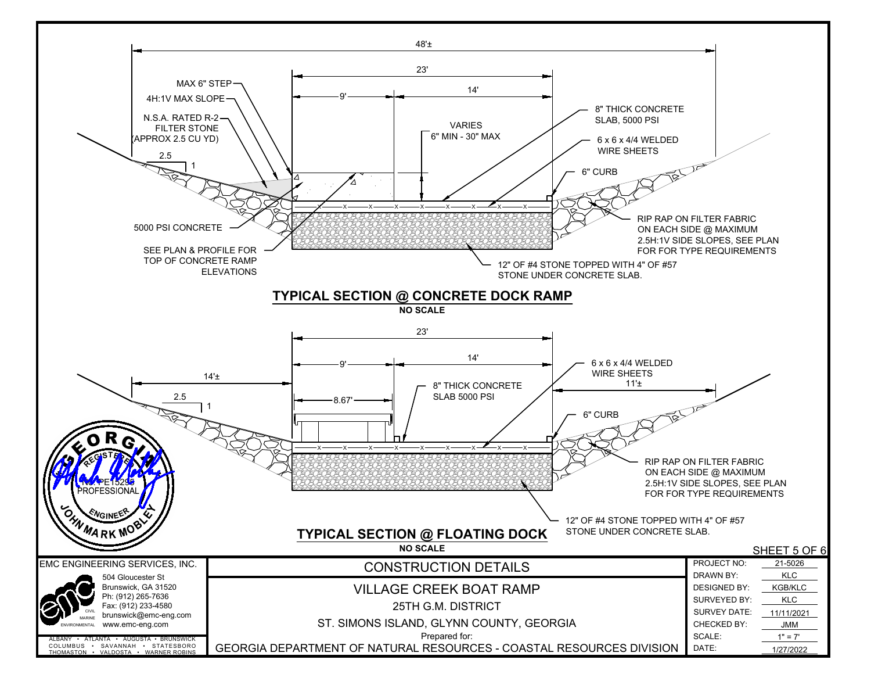